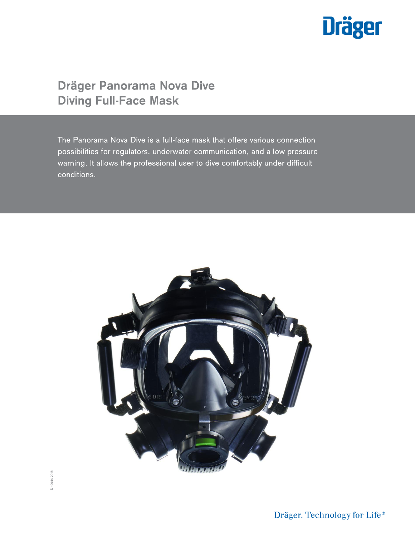

# **Dräger Panorama Nova Dive Diving Full-Face Mask**

The Panorama Nova Dive is a full-face mask that offers various connection possibilities for regulators, underwater communication, and a low pressure warning. It allows the professional user to dive comfortably under difficult conditions.



D-12944-2018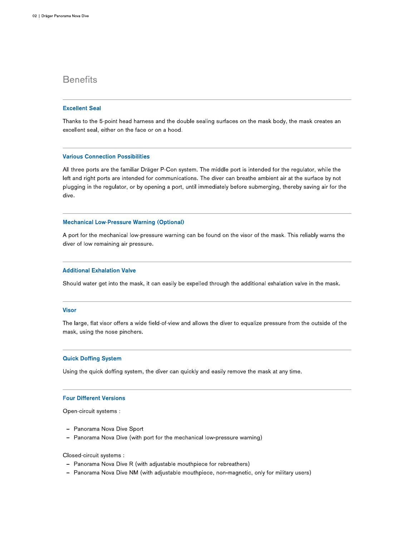## **Benefits**

### **Excellent Seal**

Thanks to the 5-point head harness and the double sealing surfaces on the mask body, the mask creates an excellent seal, either on the face or on a hood.

#### **Various Connection Possibilities**

All three ports are the familiar Dräger P-Con system. The middle port is intended for the regulator, while the left and right ports are intended for communications. The diver can breathe ambient air at the surface by not plugging in the regulator, or by opening a port, until immediately before submerging, thereby saving air for the dive.

#### **Mechanical Low-Pressure Warning (Optional)**

A port for the mechanical low-pressure warning can be found on the visor of the mask. This reliably warns the diver of low remaining air pressure.

#### **Additional Exhalation Valve**

Should water get into the mask, it can easily be expelled through the additional exhalation valve in the mask.

#### **Visor**

The large, flat visor offers a wide field-of-view and allows the diver to equalize pressure from the outside of the mask, using the nose pinchers.

### **Quick Doffing System**

Using the quick doffing system, the diver can quickly and easily remove the mask at any time.

#### **Four Different Versions**

Open-circuit systems :

- Panorama Nova Dive Sport
- Panorama Nova Dive (with port for the mechanical low-pressure warning)

#### Closed-circuit systems :

- Panorama Nova Dive R (with adjustable mouthpiece for rebreathers)
- Panorama Nova Dive NM (with adjustable mouthpiece, non-magnetic, only for military users)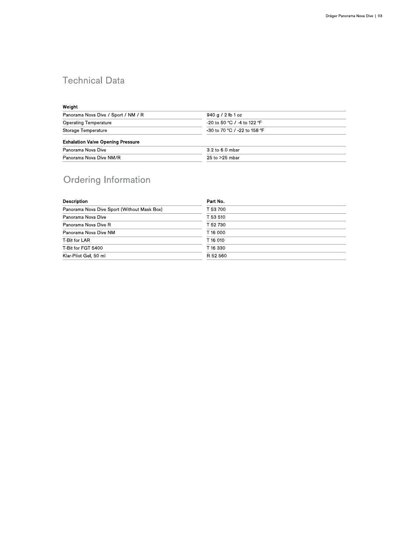## **Technical Data**

### Weight

| Panorama Nova Dive / Sport / NM / R      | 940 g / 2 lb 1 oz            |  |
|------------------------------------------|------------------------------|--|
| <b>Operating Temperature</b>             | -20 to 50 °C / -4 to 122 °F  |  |
| Storage Temperature                      | -30 to 70 °C / -22 to 158 °F |  |
| <b>Exhalation Valve Opening Pressure</b> |                              |  |
| Panorama Nova Dive                       | 3.2 to 6.0 mbar              |  |
| Panorama Nova Dive NM/R                  | $25$ to $>25$ mbar           |  |

# Ordering Information

| <b>Description</b>                          | Part No. |
|---------------------------------------------|----------|
| Panorama Nova Dive Sport (Without Mask Box) | T 53 700 |
| Panorama Nova Dive                          | T 53 510 |
| Panorama Nova Dive R                        | T 52 730 |
| Panorama Nova Dive NM                       | T 16 000 |
| T-Bit for LAR                               | T 16 010 |
| T-Bit for FGT 5400                          | T 16 330 |
| Klar-Pilot Gel, 50 ml                       | R 52 560 |